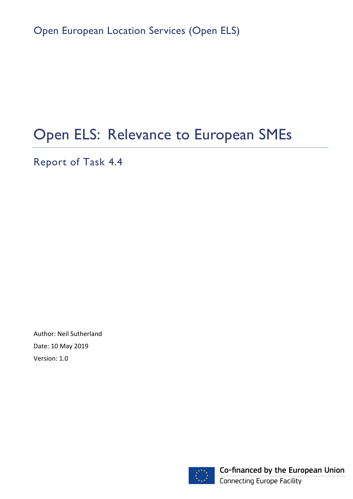Open European Location Services (Open ELS)

# Open ELS: Relevance to European SMEs

Report of Task 4.4

Author: Neil Sutherland Date: 10 May 2019 Version: 1.0



Co-financed by the European Union **Connecting Europe Facility**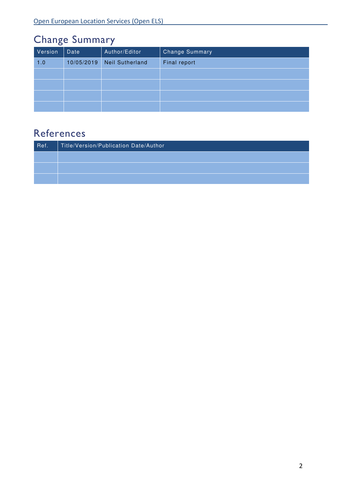# Change Summary

| Version | Date       | Author/Editor          | <b>Change Summary</b> |
|---------|------------|------------------------|-----------------------|
| 1.0     | 10/05/2019 | <b>Neil Sutherland</b> | Final report          |
|         |            |                        |                       |
|         |            |                        |                       |
|         |            |                        |                       |
|         |            |                        |                       |

# **References**

| Ref. | Title/Version/Publication Date/Author |
|------|---------------------------------------|
|      |                                       |
|      |                                       |
|      |                                       |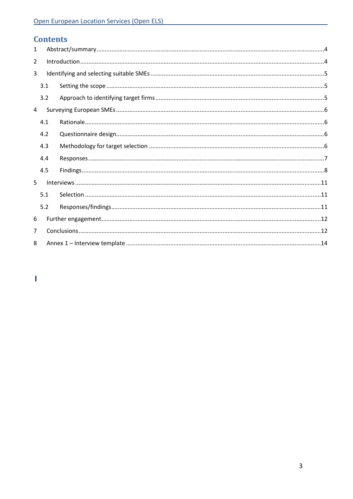# **Contents**

| $\mathbf{1}$   |     |  |
|----------------|-----|--|
| $\overline{2}$ |     |  |
| 3              |     |  |
|                | 3.1 |  |
|                | 3.2 |  |
| 4              |     |  |
|                | 4.1 |  |
|                | 4.2 |  |
|                | 4.3 |  |
|                | 4.4 |  |
|                | 4.5 |  |
| 5.             |     |  |
|                | 5.1 |  |
|                | 5.2 |  |
| 6              |     |  |
| $\overline{7}$ |     |  |
| 8              |     |  |

 $\bar{\mathbf{I}}$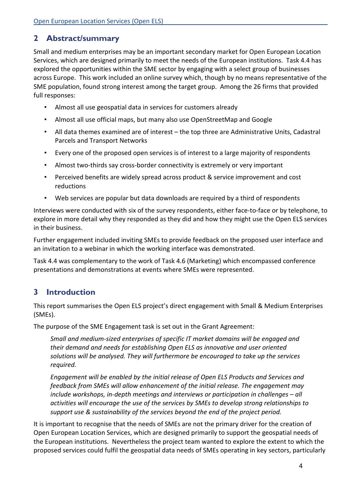## 2 Abstract/summary

Small and medium enterprises may be an important secondary market for Open European Location Services, which are designed primarily to meet the needs of the European institutions. Task 4.4 has explored the opportunities within the SME sector by engaging with a select group of businesses across Europe. This work included an online survey which, though by no means representative of the SME population, found strong interest among the target group. Among the 26 firms that provided full responses:

- Almost all use geospatial data in services for customers already
- Almost all use official maps, but many also use OpenStreetMap and Google
- All data themes examined are of interest the top three are Administrative Units, Cadastral Parcels and Transport Networks
- Every one of the proposed open services is of interest to a large majority of respondents
- Almost two-thirds say cross-border connectivity is extremely or very important
- Perceived benefits are widely spread across product & service improvement and cost reductions
- Web services are popular but data downloads are required by a third of respondents

Interviews were conducted with six of the survey respondents, either face-to-face or by telephone, to explore in more detail why they responded as they did and how they might use the Open ELS services in their business.

Further engagement included inviting SMEs to provide feedback on the proposed user interface and an invitation to a webinar in which the working interface was demonstrated.

Task 4.4 was complementary to the work of Task 4.6 (Marketing) which encompassed conference presentations and demonstrations at events where SMEs were represented.

# 3 Introduction

This report summarises the Open ELS project's direct engagement with Small & Medium Enterprises (SMEs).

The purpose of the SME Engagement task is set out in the Grant Agreement:

Small and medium-sized enterprises of specific IT market domains will be engaged and their demand and needs for establishing Open ELS as innovative and user oriented solutions will be analysed. They will furthermore be encouraged to take up the services required.

Engagement will be enabled by the initial release of Open ELS Products and Services and feedback from SMEs will allow enhancement of the initial release. The engagement may include workshops, in-depth meetings and interviews or participation in challenges – all activities will encourage the use of the services by SMEs to develop strong relationships to support use & sustainability of the services beyond the end of the project period.

It is important to recognise that the needs of SMEs are not the primary driver for the creation of Open European Location Services, which are designed primarily to support the geospatial needs of the European institutions. Nevertheless the project team wanted to explore the extent to which the proposed services could fulfil the geospatial data needs of SMEs operating in key sectors, particularly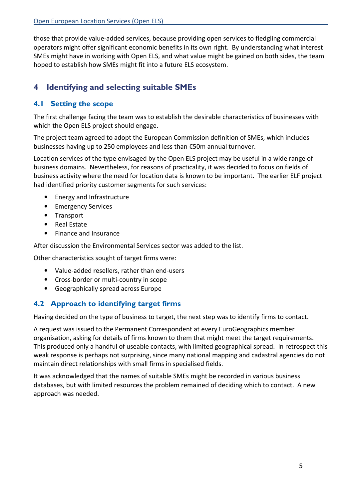those that provide value-added services, because providing open services to fledgling commercial operators might offer significant economic benefits in its own right. By understanding what interest SMEs might have in working with Open ELS, and what value might be gained on both sides, the team hoped to establish how SMEs might fit into a future ELS ecosystem.

# 4 Identifying and selecting suitable SMEs

### 4.1 Setting the scope

The first challenge facing the team was to establish the desirable characteristics of businesses with which the Open ELS project should engage.

The project team agreed to adopt the European Commission definition of SMEs, which includes businesses having up to 250 employees and less than €50m annual turnover.

Location services of the type envisaged by the Open ELS project may be useful in a wide range of business domains. Nevertheless, for reasons of practicality, it was decided to focus on fields of business activity where the need for location data is known to be important. The earlier ELF project had identified priority customer segments for such services:

- Energy and Infrastructure
- Emergency Services
- Transport
- Real Estate
- Finance and Insurance

After discussion the Environmental Services sector was added to the list.

Other characteristics sought of target firms were:

- Value-added resellers, rather than end-users
- Cross-border or multi-country in scope
- Geographically spread across Europe

#### 4.2 Approach to identifying target firms

Having decided on the type of business to target, the next step was to identify firms to contact.

A request was issued to the Permanent Correspondent at every EuroGeographics member organisation, asking for details of firms known to them that might meet the target requirements. This produced only a handful of useable contacts, with limited geographical spread. In retrospect this weak response is perhaps not surprising, since many national mapping and cadastral agencies do not maintain direct relationships with small firms in specialised fields.

It was acknowledged that the names of suitable SMEs might be recorded in various business databases, but with limited resources the problem remained of deciding which to contact. A new approach was needed.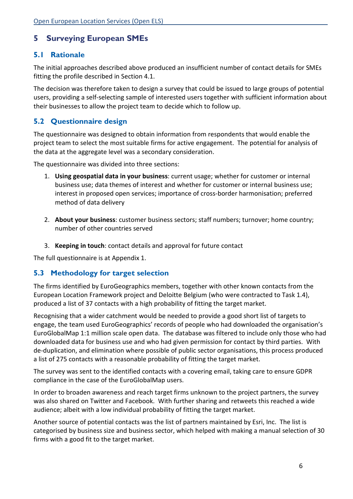# 5 Surveying European SMEs

#### 5.1 Rationale

The initial approaches described above produced an insufficient number of contact details for SMEs fitting the profile described in Section 4.1.

The decision was therefore taken to design a survey that could be issued to large groups of potential users, providing a self-selecting sample of interested users together with sufficient information about their businesses to allow the project team to decide which to follow up.

#### 5.2 Questionnaire design

The questionnaire was designed to obtain information from respondents that would enable the project team to select the most suitable firms for active engagement. The potential for analysis of the data at the aggregate level was a secondary consideration.

The questionnaire was divided into three sections:

- 1. Using geospatial data in your business: current usage; whether for customer or internal business use; data themes of interest and whether for customer or internal business use; interest in proposed open services; importance of cross-border harmonisation; preferred method of data delivery
- 2. About your business: customer business sectors; staff numbers; turnover; home country; number of other countries served
- 3. Keeping in touch: contact details and approval for future contact

The full questionnaire is at Appendix 1.

#### 5.3 Methodology for target selection

The firms identified by EuroGeographics members, together with other known contacts from the European Location Framework project and Deloitte Belgium (who were contracted to Task 1.4), produced a list of 37 contacts with a high probability of fitting the target market.

Recognising that a wider catchment would be needed to provide a good short list of targets to engage, the team used EuroGeographics' records of people who had downloaded the organisation's EuroGlobalMap 1:1 million scale open data. The database was filtered to include only those who had downloaded data for business use and who had given permission for contact by third parties. With de-duplication, and elimination where possible of public sector organisations, this process produced a list of 275 contacts with a reasonable probability of fitting the target market.

The survey was sent to the identified contacts with a covering email, taking care to ensure GDPR compliance in the case of the EuroGlobalMap users.

In order to broaden awareness and reach target firms unknown to the project partners, the survey was also shared on Twitter and Facebook. With further sharing and retweets this reached a wide audience; albeit with a low individual probability of fitting the target market.

Another source of potential contacts was the list of partners maintained by Esri, Inc. The list is categorised by business size and business sector, which helped with making a manual selection of 30 firms with a good fit to the target market.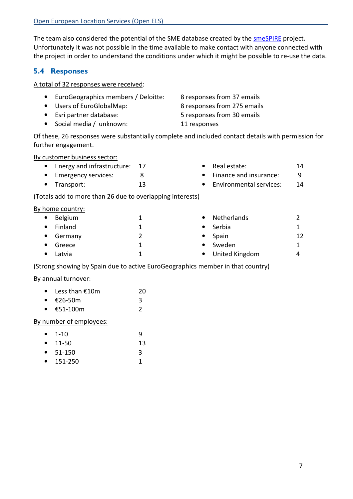The team also considered the potential of the SME database created by the smeSPIRE project. Unfortunately it was not possible in the time available to make contact with anyone connected with the project in order to understand the conditions under which it might be possible to re-use the data.

#### 5.4 Responses

#### A total of 32 responses were received:

| • EuroGeographics members / Deloitte: | 8 responses from 37 emails  |
|---------------------------------------|-----------------------------|
| • Users of EuroGlobalMap:             | 8 responses from 275 emails |
| • Esri partner database:              | 5 responses from 30 emails  |
| • Social media / unknown:             | 11 responses                |

Of these, 26 responses were substantially complete and included contact details with permission for further engagement.

> • Real estate: 14 • Finance and insurance: 9 • Environmental services: 14

By customer business sector:

- Energy and infrastructure: 17
- Emergency services: 8
- Transport: 13

(Totals add to more than 26 due to overlapping interests)

#### By home country:

|           | .       |           |                  |    |
|-----------|---------|-----------|------------------|----|
| $\bullet$ | Belgium | $\bullet$ | Netherlands      |    |
| $\bullet$ | Finland |           | Serbia           |    |
| $\bullet$ | Germany | $\bullet$ | Spain            | 12 |
| $\bullet$ | Greece  | $\bullet$ | Sweden           |    |
|           | Latvia  |           | • United Kingdom | Δ  |
|           |         |           |                  |    |

(Strong showing by Spain due to active EuroGeographics member in that country)

#### By annual turnover:

| $\bullet$ | Less than $£10m$ | 20 |
|-----------|------------------|----|
| $\bullet$ | €26-50m          |    |

•  $£51-100m$  2

#### By number of employees:

|        | $\bullet$ 1-10   | q  |
|--------|------------------|----|
|        | • $11-50$        | 13 |
|        | $\bullet$ 51-150 | 3  |
| $\sim$ | 1.51.25          | л  |

• 151-250 1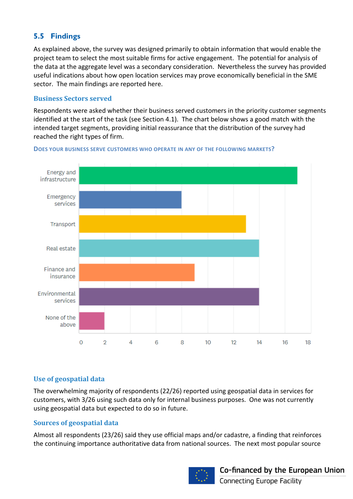## 5.5 Findings

As explained above, the survey was designed primarily to obtain information that would enable the project team to select the most suitable firms for active engagement. The potential for analysis of the data at the aggregate level was a secondary consideration. Nevertheless the survey has provided useful indications about how open location services may prove economically beneficial in the SME sector. The main findings are reported here.

#### Business Sectors served

Respondents were asked whether their business served customers in the priority customer segments identified at the start of the task (see Section 4.1). The chart below shows a good match with the intended target segments, providing initial reassurance that the distribution of the survey had reached the right types of firm.



DOES YOUR BUSINESS SERVE CUSTOMERS WHO OPERATE IN ANY OF THE FOLLOWING MARKETS?

#### Use of geospatial data

The overwhelming majority of respondents (22/26) reported using geospatial data in services for customers, with 3/26 using such data only for internal business purposes. One was not currently using geospatial data but expected to do so in future.

#### Sources of geospatial data

Almost all respondents (23/26) said they use official maps and/or cadastre, a finding that reinforces the continuing importance authoritative data from national sources. The next most popular source

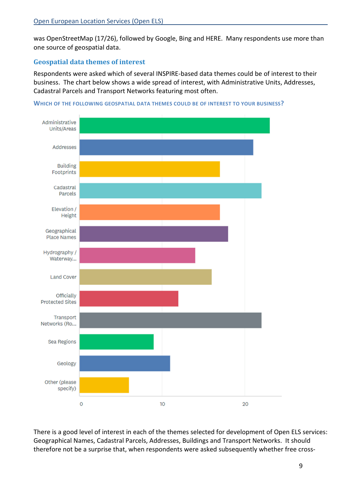was OpenStreetMap (17/26), followed by Google, Bing and HERE. Many respondents use more than one source of geospatial data.

#### Geospatial data themes of interest

Respondents were asked which of several INSPIRE-based data themes could be of interest to their business. The chart below shows a wide spread of interest, with Administrative Units, Addresses, Cadastral Parcels and Transport Networks featuring most often.





There is a good level of interest in each of the themes selected for development of Open ELS services: Geographical Names, Cadastral Parcels, Addresses, Buildings and Transport Networks. It should therefore not be a surprise that, when respondents were asked subsequently whether free cross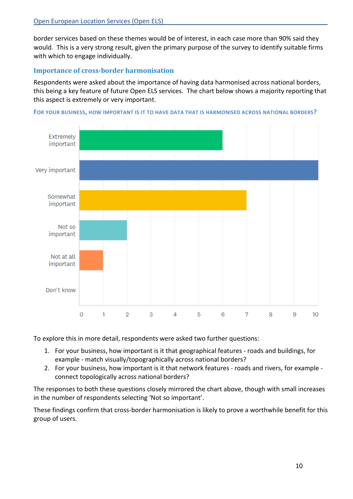border services based on these themes would be of interest, in each case more than 90% said they would. This is a very strong result, given the primary purpose of the survey to identify suitable firms with which to engage individually.

#### Importance of cross-border harmonisation

Respondents were asked about the importance of having data harmonised across national borders, this being a key feature of future Open ELS services. The chart below shows a majority reporting that this aspect is extremely or very important.





To explore this in more detail, respondents were asked two further questions:

- 1. For your business, how important is it that geographical features roads and buildings, for example - match visually/topographically across national borders?
- 2. For your business, how important is it that network features roads and rivers, for example connect topologically across national borders?

The responses to both these questions closely mirrored the chart above, though with small increases in the number of respondents selecting 'Not so important'.

These findings confirm that cross-border harmonisation is likely to prove a worthwhile benefit for this group of users.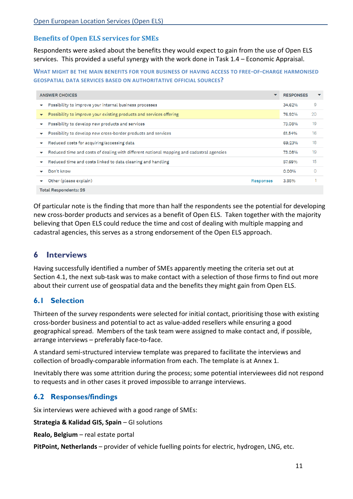#### Benefits of Open ELS services for SMEs

Respondents were asked about the benefits they would expect to gain from the use of Open ELS services. This provided a useful synergy with the work done in Task 1.4 – Economic Appraisal.

WHAT MIGHT BE THE MAIN BENEFITS FOR YOUR BUSINESS OF HAVING ACCESS TO FREE-OF-CHARGE HARMONISED GEOSPATIAL DATA SERVICES BASED ON AUTHORITATIVE OFFICIAL SOURCES?

|              | <b>ANSWER CHOICES</b><br>$\checkmark$                                                    |           | <b>RESPONSES</b> | $\blacktriangledown$ |
|--------------|------------------------------------------------------------------------------------------|-----------|------------------|----------------------|
|              | Possibility to improve your internal business processes                                  |           | 34.62%           | 9                    |
|              | Possibility to improve your existing products and services offering                      |           | 76.92%           | 20                   |
|              | Possibility to develop new products and services                                         |           | 73.08%           | 19                   |
|              | Possibility to develop new cross-border products and services                            |           | 61.54%           | 16                   |
| $\checkmark$ | Reduced costs for acquiring/accessing data                                               |           | 69.23%           | 18                   |
|              | Reduced time and costs of dealing with different national mapping and cadastral agencies |           | 73.08%           | 19                   |
|              | Reduced time and costs linked to data cleaning and handling                              |           | 57.69%           | 15                   |
|              | Don't know                                                                               |           | 0.00%            | $\Omega$             |
|              | Other (please explain)                                                                   | Responses | 3.85%            |                      |
|              | <b>Total Respondents: 26</b>                                                             |           |                  |                      |

Of particular note is the finding that more than half the respondents see the potential for developing new cross-border products and services as a benefit of Open ELS. Taken together with the majority believing that Open ELS could reduce the time and cost of dealing with multiple mapping and cadastral agencies, this serves as a strong endorsement of the Open ELS approach.

#### 6 Interviews

Having successfully identified a number of SMEs apparently meeting the criteria set out at Section 4.1, the next sub-task was to make contact with a selection of those firms to find out more about their current use of geospatial data and the benefits they might gain from Open ELS.

#### 6.1 Selection

Thirteen of the survey respondents were selected for initial contact, prioritising those with existing cross-border business and potential to act as value-added resellers while ensuring a good geographical spread. Members of the task team were assigned to make contact and, if possible, arrange interviews – preferably face-to-face.

A standard semi-structured interview template was prepared to facilitate the interviews and collection of broadly-comparable information from each. The template is at Annex 1.

Inevitably there was some attrition during the process; some potential interviewees did not respond to requests and in other cases it proved impossible to arrange interviews.

#### 6.2 Responses/findings

Six interviews were achieved with a good range of SMEs:

Strategia & Kalidad GIS, Spain – GI solutions

Realo, Belgium – real estate portal

PitPoint, Netherlands – provider of vehicle fuelling points for electric, hydrogen, LNG, etc.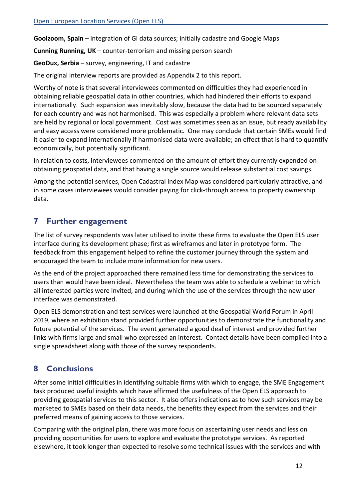Goolzoom, Spain – integration of GI data sources; initially cadastre and Google Maps

Cunning Running, UK – counter-terrorism and missing person search

GeoDux, Serbia – survey, engineering, IT and cadastre

The original interview reports are provided as Appendix 2 to this report.

Worthy of note is that several interviewees commented on difficulties they had experienced in obtaining reliable geospatial data in other countries, which had hindered their efforts to expand internationally. Such expansion was inevitably slow, because the data had to be sourced separately for each country and was not harmonised. This was especially a problem where relevant data sets are held by regional or local government. Cost was sometimes seen as an issue, but ready availability and easy access were considered more problematic. One may conclude that certain SMEs would find it easier to expand internationally if harmonised data were available; an effect that is hard to quantify economically, but potentially significant.

In relation to costs, interviewees commented on the amount of effort they currently expended on obtaining geospatial data, and that having a single source would release substantial cost savings.

Among the potential services, Open Cadastral Index Map was considered particularly attractive, and in some cases interviewees would consider paying for click-through access to property ownership data.

## 7 Further engagement

The list of survey respondents was later utilised to invite these firms to evaluate the Open ELS user interface during its development phase; first as wireframes and later in prototype form. The feedback from this engagement helped to refine the customer journey through the system and encouraged the team to include more information for new users.

As the end of the project approached there remained less time for demonstrating the services to users than would have been ideal. Nevertheless the team was able to schedule a webinar to which all interested parties were invited, and during which the use of the services through the new user interface was demonstrated.

Open ELS demonstration and test services were launched at the Geospatial World Forum in April 2019, where an exhibition stand provided further opportunities to demonstrate the functionality and future potential of the services. The event generated a good deal of interest and provided further links with firms large and small who expressed an interest. Contact details have been compiled into a single spreadsheet along with those of the survey respondents.

# 8 Conclusions

After some initial difficulties in identifying suitable firms with which to engage, the SME Engagement task produced useful insights which have affirmed the usefulness of the Open ELS approach to providing geospatial services to this sector. It also offers indications as to how such services may be marketed to SMEs based on their data needs, the benefits they expect from the services and their preferred means of gaining access to those services.

Comparing with the original plan, there was more focus on ascertaining user needs and less on providing opportunities for users to explore and evaluate the prototype services. As reported elsewhere, it took longer than expected to resolve some technical issues with the services and with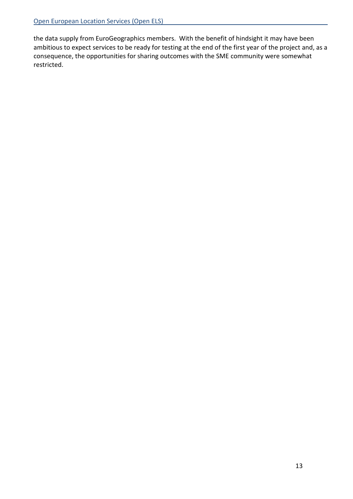the data supply from EuroGeographics members. With the benefit of hindsight it may have been ambitious to expect services to be ready for testing at the end of the first year of the project and, as a consequence, the opportunities for sharing outcomes with the SME community were somewhat restricted.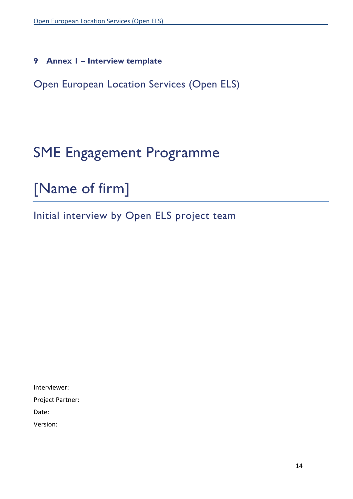9 Annex 1 – Interview template

Open European Location Services (Open ELS)

# SME Engagement Programme

# [Name of firm]

Initial interview by Open ELS project team

Interviewer:

Project Partner:

Date:

Version: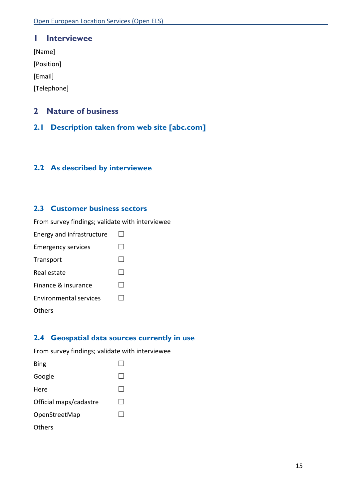#### 1 Interviewee

[Name]

[Position]

[Email]

[Telephone]

#### 2 Nature of business

2.1 Description taken from web site [abc.com]

#### 2.2 As described by interviewee

#### 2.3 Customer business sectors

From survey findings; validate with interviewee

| Energy and infrastructure |  |
|---------------------------|--|
| <b>Emergency services</b> |  |
| Transport                 |  |
| Real estate               |  |
| Finance & insurance       |  |
| Environmental services    |  |
| Others                    |  |

#### 2.4 Geospatial data sources currently in use

From survey findings; validate with interviewee

| Bing                   |  |
|------------------------|--|
| Google                 |  |
| Here                   |  |
| Official maps/cadastre |  |
| OpenStreetMap          |  |
| Others                 |  |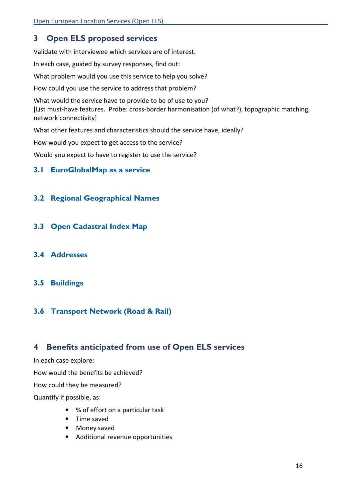# 3 Open ELS proposed services

Validate with interviewee which services are of interest.

In each case, guided by survey responses, find out:

What problem would you use this service to help you solve?

How could you use the service to address that problem?

What would the service have to provide to be of use to you? [List must-have features. Probe: cross-border harmonisation (of what?), topographic matching, network connectivity]

What other features and characteristics should the service have, ideally?

How would you expect to get access to the service?

Would you expect to have to register to use the service?

#### 3.1 EuroGlobalMap as a service

#### 3.2 Regional Geographical Names

- 3.3 Open Cadastral Index Map
- 3.4 Addresses

#### 3.5 Buildings

#### 3.6 Transport Network (Road & Rail)

## 4 Benefits anticipated from use of Open ELS services

In each case explore:

How would the benefits be achieved?

How could they be measured?

Quantify if possible, as:

- % of effort on a particular task
- Time saved
- Money saved
- Additional revenue opportunities